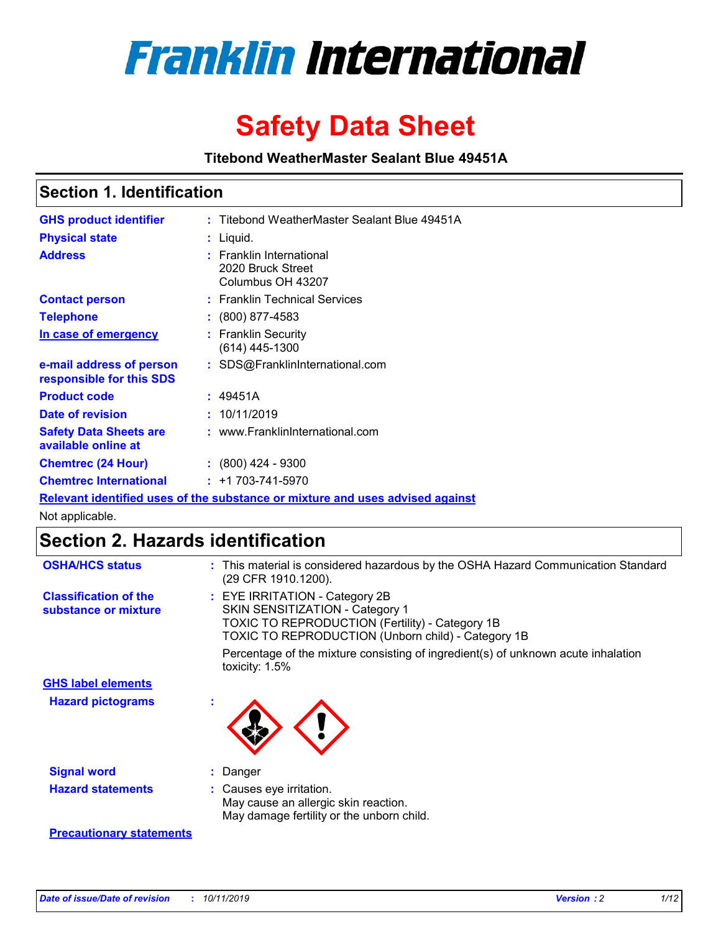

# **Safety Data Sheet**

**Titebond WeatherMaster Sealant Blue 49451A**

### **Section 1. Identification**

| <b>GHS product identifier</b>                                                 |  | : Titebond WeatherMaster Sealant Blue 49451A                       |  |  |  |
|-------------------------------------------------------------------------------|--|--------------------------------------------------------------------|--|--|--|
| <b>Physical state</b>                                                         |  | : Liquid.                                                          |  |  |  |
| <b>Address</b>                                                                |  | : Franklin International<br>2020 Bruck Street<br>Columbus OH 43207 |  |  |  |
| <b>Contact person</b>                                                         |  | : Franklin Technical Services                                      |  |  |  |
| <b>Telephone</b>                                                              |  | $\div$ (800) 877-4583                                              |  |  |  |
| In case of emergency                                                          |  | : Franklin Security<br>$(614)$ 445-1300                            |  |  |  |
| e-mail address of person<br>responsible for this SDS                          |  | : SDS@FranklinInternational.com                                    |  |  |  |
| <b>Product code</b>                                                           |  | : 49451A                                                           |  |  |  |
| Date of revision                                                              |  | : 10/11/2019                                                       |  |  |  |
| <b>Safety Data Sheets are</b><br>available online at                          |  | : www.FranklinInternational.com                                    |  |  |  |
| <b>Chemtrec (24 Hour)</b>                                                     |  | $\div$ (800) 424 - 9300                                            |  |  |  |
| <b>Chemtrec International</b>                                                 |  | $: +1703 - 741 - 5970$                                             |  |  |  |
| Relevant identified uses of the substance or mixture and uses advised against |  |                                                                    |  |  |  |

Not applicable.

## **Section 2. Hazards identification**

| <b>OSHA/HCS status</b>                               | : This material is considered hazardous by the OSHA Hazard Communication Standard<br>(29 CFR 1910.1200).                                                                                 |
|------------------------------------------------------|------------------------------------------------------------------------------------------------------------------------------------------------------------------------------------------|
| <b>Classification of the</b><br>substance or mixture | : EYE IRRITATION - Category 2B<br>SKIN SENSITIZATION - Category 1<br><b>TOXIC TO REPRODUCTION (Fertility) - Category 1B</b><br><b>TOXIC TO REPRODUCTION (Unborn child) - Category 1B</b> |
|                                                      | Percentage of the mixture consisting of ingredient(s) of unknown acute inhalation<br>toxicity: $1.5\%$                                                                                   |
| <b>GHS label elements</b>                            |                                                                                                                                                                                          |
| <b>Hazard pictograms</b>                             |                                                                                                                                                                                          |
| <b>Signal word</b>                                   | : Danger                                                                                                                                                                                 |
| <b>Hazard statements</b>                             | : Causes eye irritation.<br>May cause an allergic skin reaction.<br>May damage fertility or the unborn child.                                                                            |
| <b>Precautionary statements</b>                      |                                                                                                                                                                                          |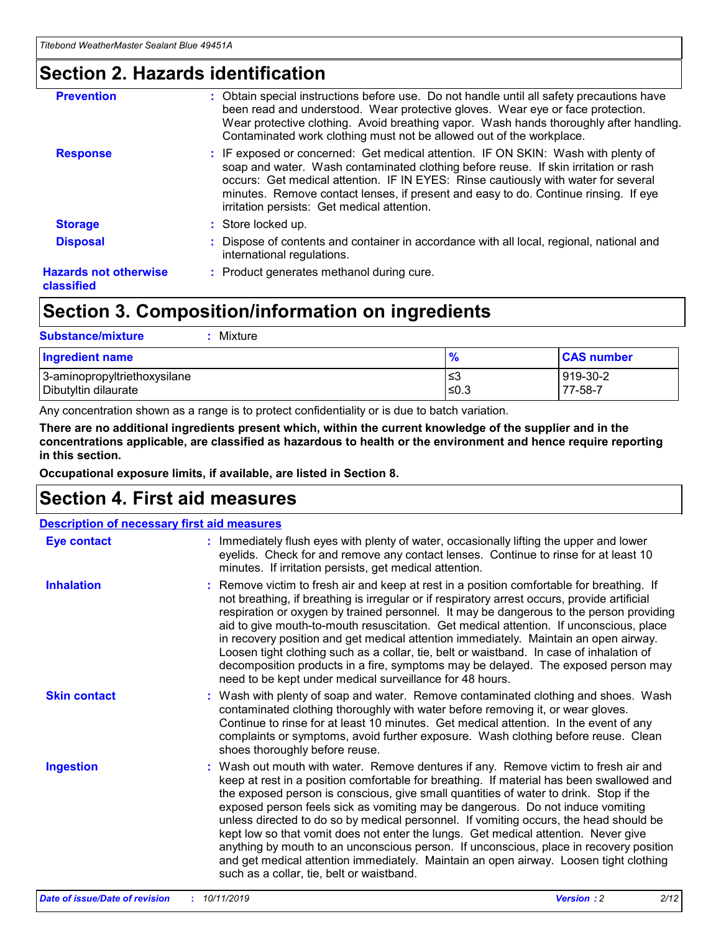### **Section 2. Hazards identification**

| <b>Prevention</b>                          | : Obtain special instructions before use. Do not handle until all safety precautions have<br>been read and understood. Wear protective gloves. Wear eye or face protection.<br>Wear protective clothing. Avoid breathing vapor. Wash hands thoroughly after handling.<br>Contaminated work clothing must not be allowed out of the workplace.                                                        |
|--------------------------------------------|------------------------------------------------------------------------------------------------------------------------------------------------------------------------------------------------------------------------------------------------------------------------------------------------------------------------------------------------------------------------------------------------------|
| <b>Response</b>                            | : IF exposed or concerned: Get medical attention. IF ON SKIN: Wash with plenty of<br>soap and water. Wash contaminated clothing before reuse. If skin irritation or rash<br>occurs: Get medical attention. IF IN EYES: Rinse cautiously with water for several<br>minutes. Remove contact lenses, if present and easy to do. Continue rinsing. If eye<br>irritation persists: Get medical attention. |
| <b>Storage</b>                             | : Store locked up.                                                                                                                                                                                                                                                                                                                                                                                   |
| <b>Disposal</b>                            | : Dispose of contents and container in accordance with all local, regional, national and<br>international regulations.                                                                                                                                                                                                                                                                               |
| <b>Hazards not otherwise</b><br>classified | : Product generates methanol during cure.                                                                                                                                                                                                                                                                                                                                                            |
|                                            |                                                                                                                                                                                                                                                                                                                                                                                                      |

### **Section 3. Composition/information on ingredients**

| <b>Substance/mixture</b><br>Mixture                  |               |                     |
|------------------------------------------------------|---------------|---------------------|
| <b>Ingredient name</b>                               | $\frac{9}{6}$ | <b>CAS number</b>   |
| 3-aminopropyltriethoxysilane<br>Dibutyltin dilaurate | ≤3<br>$≤0.3$  | 919-30-2<br>77-58-7 |

Any concentration shown as a range is to protect confidentiality or is due to batch variation.

**There are no additional ingredients present which, within the current knowledge of the supplier and in the concentrations applicable, are classified as hazardous to health or the environment and hence require reporting in this section.**

**Occupational exposure limits, if available, are listed in Section 8.**

### **Section 4. First aid measures**

| <b>Description of necessary first aid measures</b> |                                                                                                                                                                                                                                                                                                                                                                                                                                                                                                                                                                                                                                                                                                                                                                           |  |  |  |
|----------------------------------------------------|---------------------------------------------------------------------------------------------------------------------------------------------------------------------------------------------------------------------------------------------------------------------------------------------------------------------------------------------------------------------------------------------------------------------------------------------------------------------------------------------------------------------------------------------------------------------------------------------------------------------------------------------------------------------------------------------------------------------------------------------------------------------------|--|--|--|
| <b>Eye contact</b>                                 | : Immediately flush eyes with plenty of water, occasionally lifting the upper and lower<br>eyelids. Check for and remove any contact lenses. Continue to rinse for at least 10<br>minutes. If irritation persists, get medical attention.                                                                                                                                                                                                                                                                                                                                                                                                                                                                                                                                 |  |  |  |
| <b>Inhalation</b>                                  | : Remove victim to fresh air and keep at rest in a position comfortable for breathing. If<br>not breathing, if breathing is irregular or if respiratory arrest occurs, provide artificial<br>respiration or oxygen by trained personnel. It may be dangerous to the person providing<br>aid to give mouth-to-mouth resuscitation. Get medical attention. If unconscious, place<br>in recovery position and get medical attention immediately. Maintain an open airway.<br>Loosen tight clothing such as a collar, tie, belt or waistband. In case of inhalation of<br>decomposition products in a fire, symptoms may be delayed. The exposed person may<br>need to be kept under medical surveillance for 48 hours.                                                       |  |  |  |
| <b>Skin contact</b>                                | : Wash with plenty of soap and water. Remove contaminated clothing and shoes. Wash<br>contaminated clothing thoroughly with water before removing it, or wear gloves.<br>Continue to rinse for at least 10 minutes. Get medical attention. In the event of any<br>complaints or symptoms, avoid further exposure. Wash clothing before reuse. Clean<br>shoes thoroughly before reuse.                                                                                                                                                                                                                                                                                                                                                                                     |  |  |  |
| <b>Ingestion</b>                                   | : Wash out mouth with water. Remove dentures if any. Remove victim to fresh air and<br>keep at rest in a position comfortable for breathing. If material has been swallowed and<br>the exposed person is conscious, give small quantities of water to drink. Stop if the<br>exposed person feels sick as vomiting may be dangerous. Do not induce vomiting<br>unless directed to do so by medical personnel. If vomiting occurs, the head should be<br>kept low so that vomit does not enter the lungs. Get medical attention. Never give<br>anything by mouth to an unconscious person. If unconscious, place in recovery position<br>and get medical attention immediately. Maintain an open airway. Loosen tight clothing<br>such as a collar, tie, belt or waistband. |  |  |  |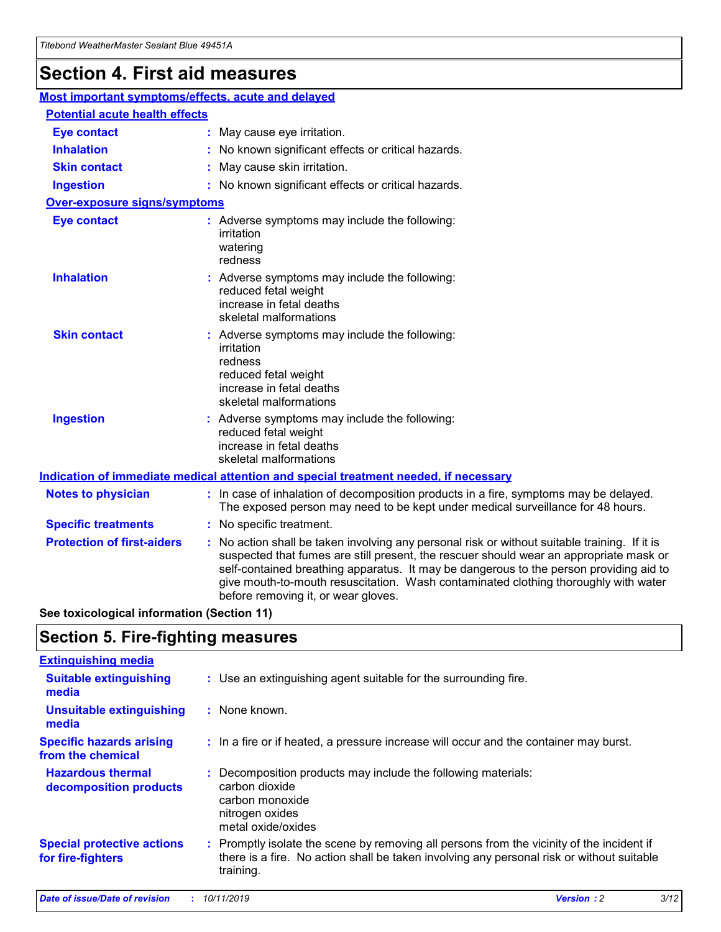## **Section 4. First aid measures**

| Most important symptoms/effects, acute and delayed |                                                                                                                                                                                                                                                                                                                                                                                                                 |
|----------------------------------------------------|-----------------------------------------------------------------------------------------------------------------------------------------------------------------------------------------------------------------------------------------------------------------------------------------------------------------------------------------------------------------------------------------------------------------|
| <b>Potential acute health effects</b>              |                                                                                                                                                                                                                                                                                                                                                                                                                 |
| <b>Eye contact</b>                                 | : May cause eye irritation.                                                                                                                                                                                                                                                                                                                                                                                     |
| <b>Inhalation</b>                                  | : No known significant effects or critical hazards.                                                                                                                                                                                                                                                                                                                                                             |
| <b>Skin contact</b>                                | : May cause skin irritation.                                                                                                                                                                                                                                                                                                                                                                                    |
| <b>Ingestion</b>                                   | : No known significant effects or critical hazards.                                                                                                                                                                                                                                                                                                                                                             |
| <b>Over-exposure signs/symptoms</b>                |                                                                                                                                                                                                                                                                                                                                                                                                                 |
| <b>Eye contact</b>                                 | : Adverse symptoms may include the following:<br>irritation<br>watering<br>redness                                                                                                                                                                                                                                                                                                                              |
| <b>Inhalation</b>                                  | : Adverse symptoms may include the following:<br>reduced fetal weight<br>increase in fetal deaths<br>skeletal malformations                                                                                                                                                                                                                                                                                     |
| <b>Skin contact</b>                                | : Adverse symptoms may include the following:<br>irritation<br>redness<br>reduced fetal weight<br>increase in fetal deaths<br>skeletal malformations                                                                                                                                                                                                                                                            |
| <b>Ingestion</b>                                   | : Adverse symptoms may include the following:<br>reduced fetal weight<br>increase in fetal deaths<br>skeletal malformations                                                                                                                                                                                                                                                                                     |
|                                                    | <b>Indication of immediate medical attention and special treatment needed, if necessary</b>                                                                                                                                                                                                                                                                                                                     |
| <b>Notes to physician</b>                          | : In case of inhalation of decomposition products in a fire, symptoms may be delayed.<br>The exposed person may need to be kept under medical surveillance for 48 hours.                                                                                                                                                                                                                                        |
| <b>Specific treatments</b>                         | : No specific treatment.                                                                                                                                                                                                                                                                                                                                                                                        |
| <b>Protection of first-aiders</b>                  | : No action shall be taken involving any personal risk or without suitable training. If it is<br>suspected that fumes are still present, the rescuer should wear an appropriate mask or<br>self-contained breathing apparatus. It may be dangerous to the person providing aid to<br>give mouth-to-mouth resuscitation. Wash contaminated clothing thoroughly with water<br>before removing it, or wear gloves. |

**See toxicological information (Section 11)**

### **Section 5. Fire-fighting measures**

| <b>Extinguishing media</b>                             |                                                                                                                                                                                                     |
|--------------------------------------------------------|-----------------------------------------------------------------------------------------------------------------------------------------------------------------------------------------------------|
| <b>Suitable extinguishing</b><br>media                 | : Use an extinguishing agent suitable for the surrounding fire.                                                                                                                                     |
| <b>Unsuitable extinguishing</b><br>media               | : None known.                                                                                                                                                                                       |
| <b>Specific hazards arising</b><br>from the chemical   | : In a fire or if heated, a pressure increase will occur and the container may burst.                                                                                                               |
| <b>Hazardous thermal</b><br>decomposition products     | : Decomposition products may include the following materials:<br>carbon dioxide<br>carbon monoxide<br>nitrogen oxides<br>metal oxide/oxides                                                         |
| <b>Special protective actions</b><br>for fire-fighters | : Promptly isolate the scene by removing all persons from the vicinity of the incident if<br>there is a fire. No action shall be taken involving any personal risk or without suitable<br>training. |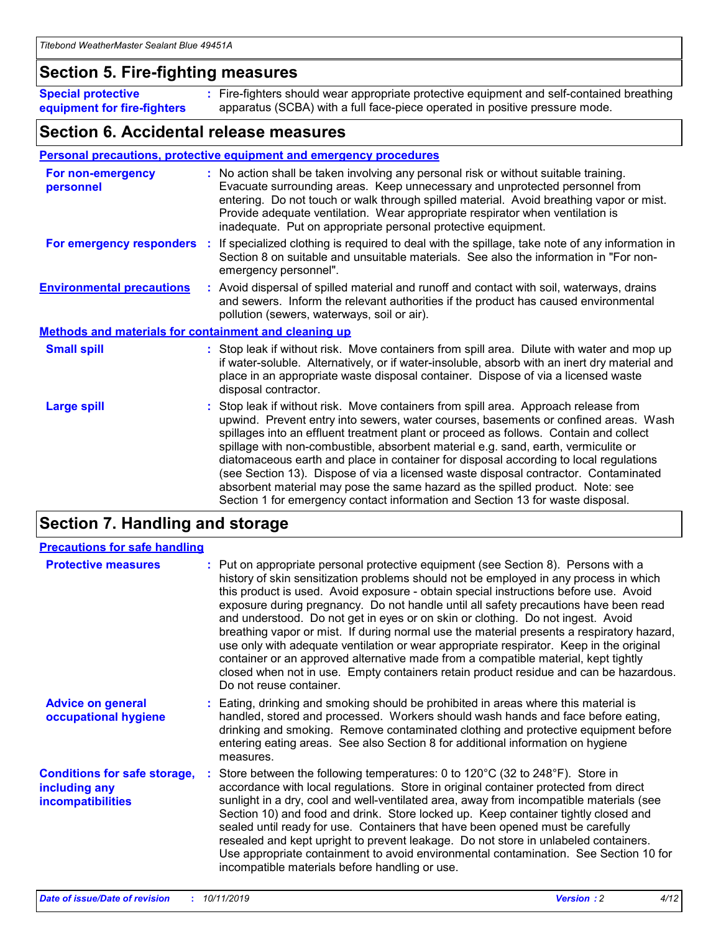### **Section 5. Fire-fighting measures**

**Special protective equipment for fire-fighters** Fire-fighters should wear appropriate protective equipment and self-contained breathing **:** apparatus (SCBA) with a full face-piece operated in positive pressure mode.

### **Section 6. Accidental release measures**

### **Personal precautions, protective equipment and emergency procedures**

| For non-emergency<br>personnel                               |  | : No action shall be taken involving any personal risk or without suitable training.<br>Evacuate surrounding areas. Keep unnecessary and unprotected personnel from<br>entering. Do not touch or walk through spilled material. Avoid breathing vapor or mist.<br>Provide adequate ventilation. Wear appropriate respirator when ventilation is<br>inadequate. Put on appropriate personal protective equipment.                                                                                                                                                                                                                                                                                             |  |  |
|--------------------------------------------------------------|--|--------------------------------------------------------------------------------------------------------------------------------------------------------------------------------------------------------------------------------------------------------------------------------------------------------------------------------------------------------------------------------------------------------------------------------------------------------------------------------------------------------------------------------------------------------------------------------------------------------------------------------------------------------------------------------------------------------------|--|--|
|                                                              |  | For emergency responders : If specialized clothing is required to deal with the spillage, take note of any information in<br>Section 8 on suitable and unsuitable materials. See also the information in "For non-<br>emergency personnel".                                                                                                                                                                                                                                                                                                                                                                                                                                                                  |  |  |
| <b>Environmental precautions</b>                             |  | : Avoid dispersal of spilled material and runoff and contact with soil, waterways, drains<br>and sewers. Inform the relevant authorities if the product has caused environmental<br>pollution (sewers, waterways, soil or air).                                                                                                                                                                                                                                                                                                                                                                                                                                                                              |  |  |
| <b>Methods and materials for containment and cleaning up</b> |  |                                                                                                                                                                                                                                                                                                                                                                                                                                                                                                                                                                                                                                                                                                              |  |  |
| <b>Small spill</b>                                           |  | : Stop leak if without risk. Move containers from spill area. Dilute with water and mop up<br>if water-soluble. Alternatively, or if water-insoluble, absorb with an inert dry material and<br>place in an appropriate waste disposal container. Dispose of via a licensed waste<br>disposal contractor.                                                                                                                                                                                                                                                                                                                                                                                                     |  |  |
| <b>Large spill</b>                                           |  | : Stop leak if without risk. Move containers from spill area. Approach release from<br>upwind. Prevent entry into sewers, water courses, basements or confined areas. Wash<br>spillages into an effluent treatment plant or proceed as follows. Contain and collect<br>spillage with non-combustible, absorbent material e.g. sand, earth, vermiculite or<br>diatomaceous earth and place in container for disposal according to local regulations<br>(see Section 13). Dispose of via a licensed waste disposal contractor. Contaminated<br>absorbent material may pose the same hazard as the spilled product. Note: see<br>Section 1 for emergency contact information and Section 13 for waste disposal. |  |  |

### **Section 7. Handling and storage**

| <b>Precautions for safe handling</b>                                             |                                                                                                                                                                                                                                                                                                                                                                                                                                                                                                                                                                                                                                                                                                                                                                                                                                                  |
|----------------------------------------------------------------------------------|--------------------------------------------------------------------------------------------------------------------------------------------------------------------------------------------------------------------------------------------------------------------------------------------------------------------------------------------------------------------------------------------------------------------------------------------------------------------------------------------------------------------------------------------------------------------------------------------------------------------------------------------------------------------------------------------------------------------------------------------------------------------------------------------------------------------------------------------------|
| <b>Protective measures</b>                                                       | : Put on appropriate personal protective equipment (see Section 8). Persons with a<br>history of skin sensitization problems should not be employed in any process in which<br>this product is used. Avoid exposure - obtain special instructions before use. Avoid<br>exposure during pregnancy. Do not handle until all safety precautions have been read<br>and understood. Do not get in eyes or on skin or clothing. Do not ingest. Avoid<br>breathing vapor or mist. If during normal use the material presents a respiratory hazard,<br>use only with adequate ventilation or wear appropriate respirator. Keep in the original<br>container or an approved alternative made from a compatible material, kept tightly<br>closed when not in use. Empty containers retain product residue and can be hazardous.<br>Do not reuse container. |
| <b>Advice on general</b><br>occupational hygiene                                 | : Eating, drinking and smoking should be prohibited in areas where this material is<br>handled, stored and processed. Workers should wash hands and face before eating,<br>drinking and smoking. Remove contaminated clothing and protective equipment before<br>entering eating areas. See also Section 8 for additional information on hygiene<br>measures.                                                                                                                                                                                                                                                                                                                                                                                                                                                                                    |
| <b>Conditions for safe storage,</b><br>including any<br><b>incompatibilities</b> | : Store between the following temperatures: 0 to 120 $\degree$ C (32 to 248 $\degree$ F). Store in<br>accordance with local regulations. Store in original container protected from direct<br>sunlight in a dry, cool and well-ventilated area, away from incompatible materials (see<br>Section 10) and food and drink. Store locked up. Keep container tightly closed and<br>sealed until ready for use. Containers that have been opened must be carefully<br>resealed and kept upright to prevent leakage. Do not store in unlabeled containers.<br>Use appropriate containment to avoid environmental contamination. See Section 10 for<br>incompatible materials before handling or use.                                                                                                                                                   |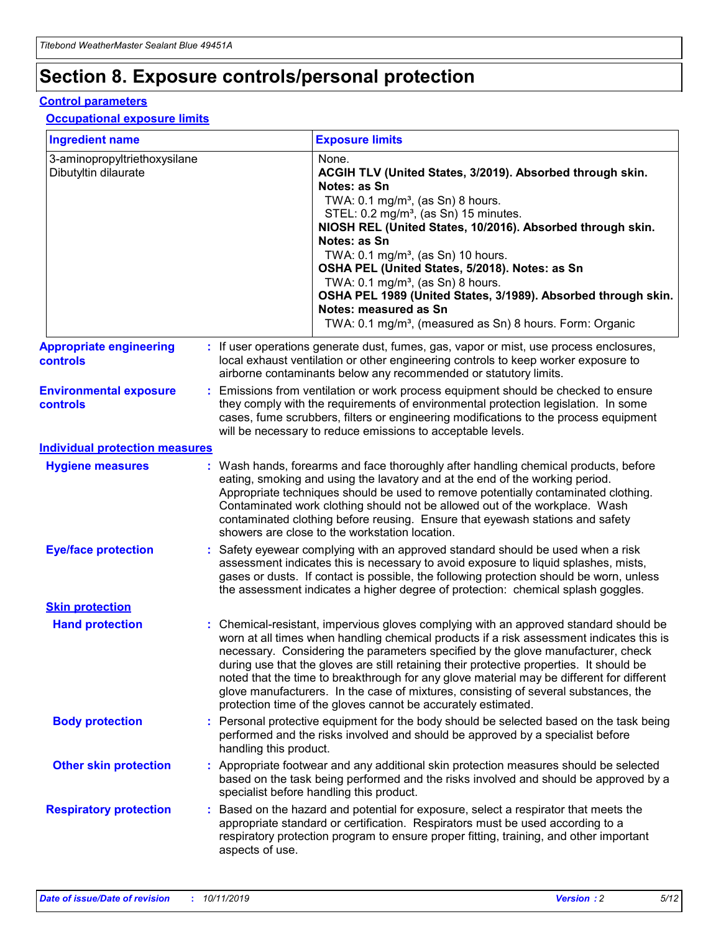## **Section 8. Exposure controls/personal protection**

#### **Control parameters**

### **Occupational exposure limits**

| <b>Ingredient name</b>                               |    |                        | <b>Exposure limits</b>                                                                                                                                                                                                                                                                                                                                                                                                                                                                                                                                                                                                 |
|------------------------------------------------------|----|------------------------|------------------------------------------------------------------------------------------------------------------------------------------------------------------------------------------------------------------------------------------------------------------------------------------------------------------------------------------------------------------------------------------------------------------------------------------------------------------------------------------------------------------------------------------------------------------------------------------------------------------------|
| 3-aminopropyltriethoxysilane<br>Dibutyltin dilaurate |    |                        | None.<br>ACGIH TLV (United States, 3/2019). Absorbed through skin.<br>Notes: as Sn<br>TWA: $0.1 \text{ mg/m}^3$ , (as Sn) 8 hours.<br>STEL: 0.2 mg/m <sup>3</sup> , (as Sn) 15 minutes.<br>NIOSH REL (United States, 10/2016). Absorbed through skin.<br>Notes: as Sn<br>TWA: 0.1 mg/m <sup>3</sup> , (as Sn) 10 hours.<br>OSHA PEL (United States, 5/2018). Notes: as Sn<br>TWA: $0.1 \text{ mg/m}^3$ , (as Sn) 8 hours.<br>OSHA PEL 1989 (United States, 3/1989). Absorbed through skin.<br>Notes: measured as Sn<br>TWA: 0.1 mg/m <sup>3</sup> , (measured as Sn) 8 hours. Form: Organic                            |
| <b>Appropriate engineering</b><br>controls           |    |                        | : If user operations generate dust, fumes, gas, vapor or mist, use process enclosures,<br>local exhaust ventilation or other engineering controls to keep worker exposure to<br>airborne contaminants below any recommended or statutory limits.                                                                                                                                                                                                                                                                                                                                                                       |
| <b>Environmental exposure</b><br>controls            |    |                        | Emissions from ventilation or work process equipment should be checked to ensure<br>they comply with the requirements of environmental protection legislation. In some<br>cases, fume scrubbers, filters or engineering modifications to the process equipment<br>will be necessary to reduce emissions to acceptable levels.                                                                                                                                                                                                                                                                                          |
| <b>Individual protection measures</b>                |    |                        |                                                                                                                                                                                                                                                                                                                                                                                                                                                                                                                                                                                                                        |
| <b>Hygiene measures</b>                              |    |                        | : Wash hands, forearms and face thoroughly after handling chemical products, before<br>eating, smoking and using the lavatory and at the end of the working period.<br>Appropriate techniques should be used to remove potentially contaminated clothing.<br>Contaminated work clothing should not be allowed out of the workplace. Wash<br>contaminated clothing before reusing. Ensure that eyewash stations and safety<br>showers are close to the workstation location.                                                                                                                                            |
| <b>Eye/face protection</b>                           |    |                        | : Safety eyewear complying with an approved standard should be used when a risk<br>assessment indicates this is necessary to avoid exposure to liquid splashes, mists,<br>gases or dusts. If contact is possible, the following protection should be worn, unless<br>the assessment indicates a higher degree of protection: chemical splash goggles.                                                                                                                                                                                                                                                                  |
| <b>Skin protection</b>                               |    |                        |                                                                                                                                                                                                                                                                                                                                                                                                                                                                                                                                                                                                                        |
| <b>Hand protection</b>                               |    |                        | : Chemical-resistant, impervious gloves complying with an approved standard should be<br>worn at all times when handling chemical products if a risk assessment indicates this is<br>necessary. Considering the parameters specified by the glove manufacturer, check<br>during use that the gloves are still retaining their protective properties. It should be<br>noted that the time to breakthrough for any glove material may be different for different<br>glove manufacturers. In the case of mixtures, consisting of several substances, the<br>protection time of the gloves cannot be accurately estimated. |
| <b>Body protection</b>                               |    | handling this product. | Personal protective equipment for the body should be selected based on the task being<br>performed and the risks involved and should be approved by a specialist before                                                                                                                                                                                                                                                                                                                                                                                                                                                |
| <b>Other skin protection</b>                         |    |                        | : Appropriate footwear and any additional skin protection measures should be selected<br>based on the task being performed and the risks involved and should be approved by a<br>specialist before handling this product.                                                                                                                                                                                                                                                                                                                                                                                              |
| <b>Respiratory protection</b>                        | ÷. | aspects of use.        | Based on the hazard and potential for exposure, select a respirator that meets the<br>appropriate standard or certification. Respirators must be used according to a<br>respiratory protection program to ensure proper fitting, training, and other important                                                                                                                                                                                                                                                                                                                                                         |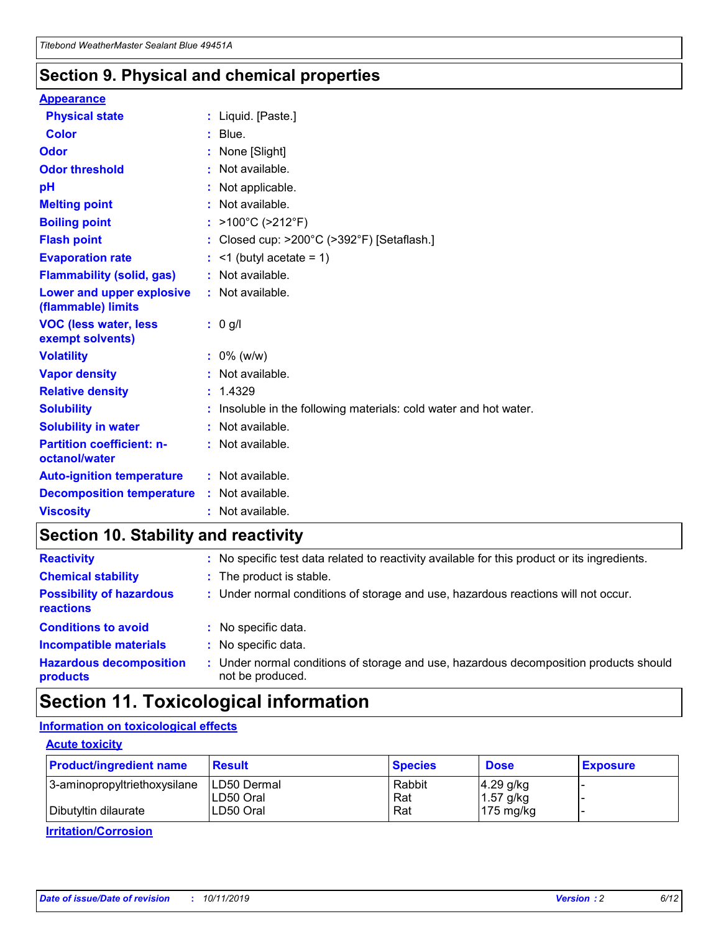### **Section 9. Physical and chemical properties**

#### **Appearance**

| <b>Physical state</b>                             | : Liquid. [Paste.]                                              |
|---------------------------------------------------|-----------------------------------------------------------------|
| <b>Color</b>                                      | $:$ Blue.                                                       |
| Odor                                              | : None [Slight]                                                 |
| <b>Odor threshold</b>                             | $:$ Not available.                                              |
| рH                                                | : Not applicable.                                               |
| <b>Melting point</b>                              | : Not available.                                                |
| <b>Boiling point</b>                              | : >100°C (>212°F)                                               |
| <b>Flash point</b>                                | Closed cup: >200°C (>392°F) [Setaflash.]                        |
| <b>Evaporation rate</b>                           | $:$ <1 (butyl acetate = 1)                                      |
| <b>Flammability (solid, gas)</b>                  | : Not available.                                                |
| Lower and upper explosive<br>(flammable) limits   | : Not available.                                                |
| <b>VOC (less water, less)</b><br>exempt solvents) | $: 0$ g/l                                                       |
| <b>Volatility</b>                                 | $: 0\%$ (w/w)                                                   |
| <b>Vapor density</b>                              | : Not available.                                                |
| <b>Relative density</b>                           | : 1.4329                                                        |
| <b>Solubility</b>                                 | Insoluble in the following materials: cold water and hot water. |
| <b>Solubility in water</b>                        | : Not available.                                                |
| <b>Partition coefficient: n-</b><br>octanol/water | $:$ Not available.                                              |
|                                                   |                                                                 |
| <b>Auto-ignition temperature</b>                  | : Not available.                                                |
| <b>Decomposition temperature</b>                  | $:$ Not available.                                              |

### **Section 10. Stability and reactivity**

| <b>Reactivity</b>                            | : No specific test data related to reactivity available for this product or its ingredients.            |
|----------------------------------------------|---------------------------------------------------------------------------------------------------------|
| <b>Chemical stability</b>                    | : The product is stable.                                                                                |
| <b>Possibility of hazardous</b><br>reactions | : Under normal conditions of storage and use, hazardous reactions will not occur.                       |
| <b>Conditions to avoid</b>                   | : No specific data.                                                                                     |
| <b>Incompatible materials</b>                | : No specific data.                                                                                     |
| <b>Hazardous decomposition</b><br>products   | Under normal conditions of storage and use, hazardous decomposition products should<br>not be produced. |

### **Section 11. Toxicological information**

### **Information on toxicological effects**

### **Acute toxicity**

| <b>Product/ingredient name</b> | <b>Result</b>           | <b>Species</b> | <b>Dose</b>                | <b>Exposure</b> |
|--------------------------------|-------------------------|----------------|----------------------------|-----------------|
| 3-aminopropyltriethoxysilane   | <b>ILD50 Dermal</b>     | Rabbit         | 4.29 g/kg                  |                 |
| Dibutyltin dilaurate           | ILD50 Oral<br>LD50 Oral | Rat<br>Rat     | $1.57$ g/kg<br>175 $mg/kg$ |                 |
|                                |                         |                |                            |                 |

**Irritation/Corrosion**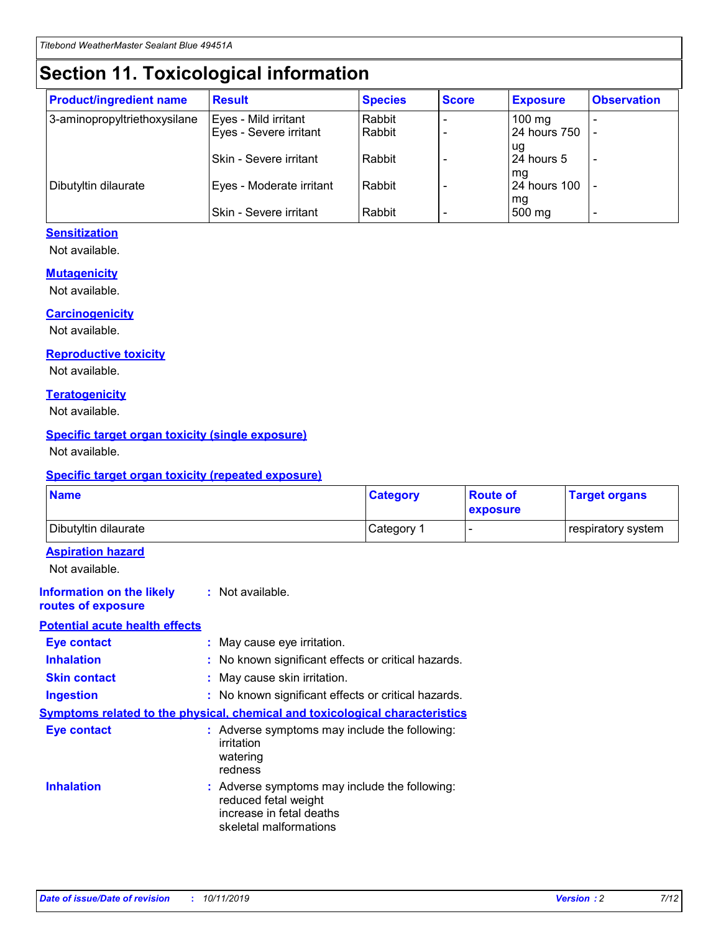## **Section 11. Toxicological information**

| <b>Product/ingredient name</b> | <b>Result</b>                 | <b>Species</b> | <b>Score</b> | <b>Exposure</b>    | <b>Observation</b> |
|--------------------------------|-------------------------------|----------------|--------------|--------------------|--------------------|
| 3-aminopropyltriethoxysilane   | Eyes - Mild irritant          | Rabbit         |              | $100$ mg           |                    |
|                                | Eyes - Severe irritant        | Rabbit         |              | 24 hours 750       |                    |
|                                |                               |                |              | ug                 |                    |
|                                | <b>Skin - Severe irritant</b> | Rabbit         |              | 24 hours 5         | ۰                  |
| Dibutyltin dilaurate           | Eyes - Moderate irritant      | Rabbit         |              | mq<br>24 hours 100 |                    |
|                                |                               |                |              | mg                 |                    |
|                                | Skin - Severe irritant        | Rabbit         |              | 500 mg             |                    |

### **Sensitization**

Not available.

### **Mutagenicity**

Not available.

#### **Carcinogenicity**

Not available.

#### **Reproductive toxicity**

Not available.

#### **Teratogenicity**

Not available.

#### **Specific target organ toxicity (single exposure)**

Not available.

#### **Specific target organ toxicity (repeated exposure)**

| <b>Name</b>                                                                  |                                                                            | <b>Category</b>                                     | <b>Route of</b><br>exposure | <b>Target organs</b> |
|------------------------------------------------------------------------------|----------------------------------------------------------------------------|-----------------------------------------------------|-----------------------------|----------------------|
| Dibutyltin dilaurate                                                         |                                                                            | Category 1                                          | -                           | respiratory system   |
| <b>Aspiration hazard</b><br>Not available.                                   |                                                                            |                                                     |                             |                      |
| <b>Information on the likely</b><br>routes of exposure                       | : Not available.                                                           |                                                     |                             |                      |
| <b>Potential acute health effects</b>                                        |                                                                            |                                                     |                             |                      |
| <b>Eye contact</b>                                                           | : May cause eye irritation.                                                |                                                     |                             |                      |
| <b>Inhalation</b>                                                            |                                                                            | : No known significant effects or critical hazards. |                             |                      |
| <b>Skin contact</b>                                                          | : May cause skin irritation.                                               |                                                     |                             |                      |
| <b>Ingestion</b>                                                             |                                                                            | : No known significant effects or critical hazards. |                             |                      |
| Symptoms related to the physical, chemical and toxicological characteristics |                                                                            |                                                     |                             |                      |
| <b>Eye contact</b>                                                           | irritation<br>watering<br>redness                                          | : Adverse symptoms may include the following:       |                             |                      |
| <b>Inhalation</b>                                                            | reduced fetal weight<br>increase in fetal deaths<br>skeletal malformations | : Adverse symptoms may include the following:       |                             |                      |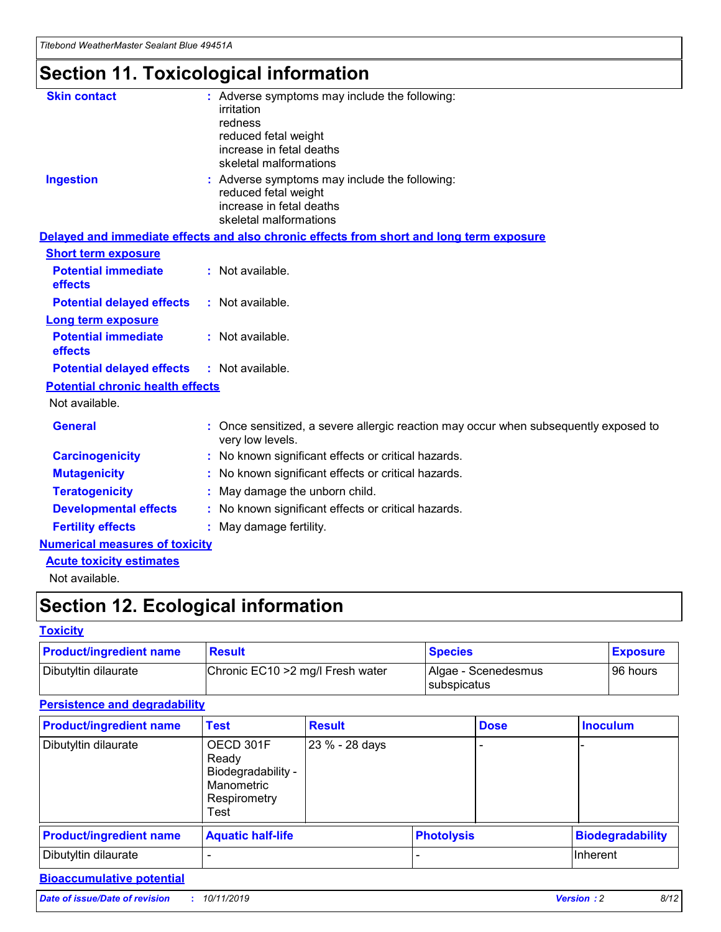## **Section 11. Toxicological information**

| <b>Skin contact</b>                     | : Adverse symptoms may include the following:<br>irritation<br>redness<br>reduced fetal weight<br>increase in fetal deaths<br>skeletal malformations |
|-----------------------------------------|------------------------------------------------------------------------------------------------------------------------------------------------------|
| <b>Ingestion</b>                        | : Adverse symptoms may include the following:<br>reduced fetal weight<br>increase in fetal deaths<br>skeletal malformations                          |
|                                         | Delayed and immediate effects and also chronic effects from short and long term exposure                                                             |
| <b>Short term exposure</b>              |                                                                                                                                                      |
| <b>Potential immediate</b><br>effects   | : Not available.                                                                                                                                     |
| <b>Potential delayed effects</b>        | : Not available.                                                                                                                                     |
| <b>Long term exposure</b>               |                                                                                                                                                      |
| <b>Potential immediate</b><br>effects   | : Not available.                                                                                                                                     |
| <b>Potential delayed effects</b>        | : Not available.                                                                                                                                     |
| <b>Potential chronic health effects</b> |                                                                                                                                                      |
| Not available.                          |                                                                                                                                                      |
| <b>General</b>                          | : Once sensitized, a severe allergic reaction may occur when subsequently exposed to<br>very low levels.                                             |
| <b>Carcinogenicity</b>                  | : No known significant effects or critical hazards.                                                                                                  |
| <b>Mutagenicity</b>                     | No known significant effects or critical hazards.                                                                                                    |
| <b>Teratogenicity</b>                   | May damage the unborn child.                                                                                                                         |
| <b>Developmental effects</b>            | No known significant effects or critical hazards.                                                                                                    |
| <b>Fertility effects</b>                | : May damage fertility.                                                                                                                              |
| <b>Numerical measures of toxicity</b>   |                                                                                                                                                      |
| <b>Acute toxicity estimates</b>         |                                                                                                                                                      |
|                                         |                                                                                                                                                      |

Not available.

## **Section 12. Ecological information**

### **Toxicity**

| <b>Product/ingredient name</b> | <b>Result</b>                     | <b>Species</b>                       | <b>Exposure</b> |
|--------------------------------|-----------------------------------|--------------------------------------|-----------------|
| Dibutyltin dilaurate           | Chronic EC10 > 2 mg/l Fresh water | Algae - Scenedesmus<br>I subspicatus | l 96 hours      |

### **Persistence and degradability**

| <b>Product/ingredient name</b> | Test                                                                           | <b>Result</b>  |                   | <b>Dose</b> | <b>Inoculum</b>         |
|--------------------------------|--------------------------------------------------------------------------------|----------------|-------------------|-------------|-------------------------|
| Dibutyltin dilaurate           | OECD 301F<br>Ready<br>Biodegradability -<br>Manometric<br>Respirometry<br>Test | 23 % - 28 days |                   |             |                         |
| <b>Product/ingredient name</b> | <b>Aquatic half-life</b>                                                       |                | <b>Photolysis</b> |             | <b>Biodegradability</b> |
| Dibutyltin dilaurate           |                                                                                |                |                   |             | Inherent                |

### **Bioaccumulative potential**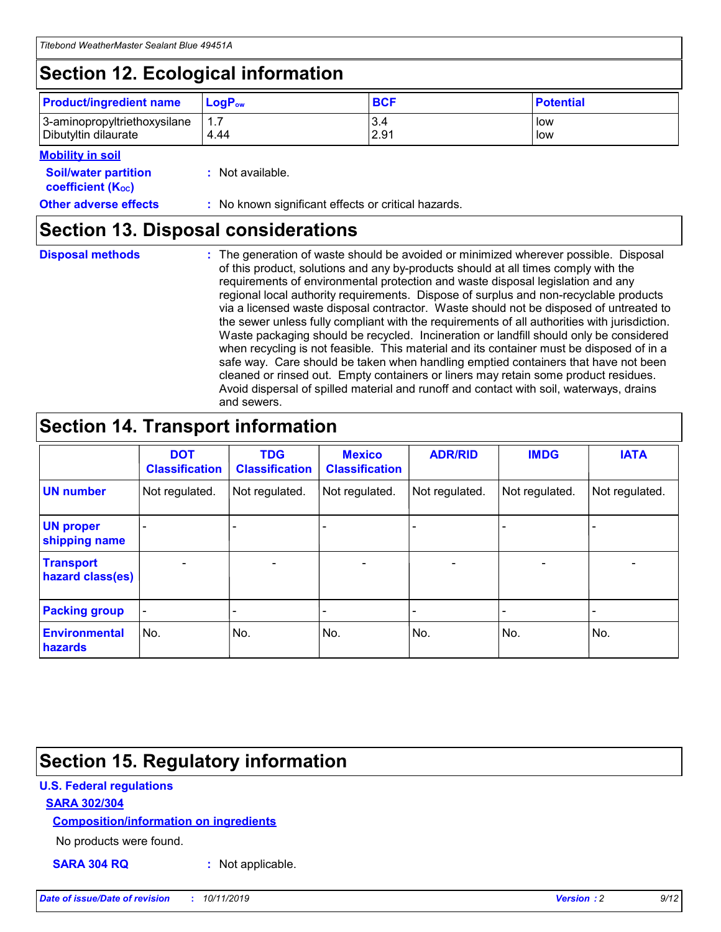## **Section 12. Ecological information**

| <b>Product/ingredient name</b> | $LoaPow$ | <b>BCF</b> | <b>Potential</b> |
|--------------------------------|----------|------------|------------------|
| 3-aminopropyltriethoxysilane   | 1.7      | 3.4        | low              |
| Dibutyltin dilaurate           | 4.44     | 2.91       | low              |

#### **Mobility in soil**

| <b>Soil/water partition</b><br>coefficient (K <sub>oc</sub> ) | : Not available.                                    |
|---------------------------------------------------------------|-----------------------------------------------------|
| <b>Other adverse effects</b>                                  | : No known significant effects or critical hazards. |

### **Section 13. Disposal considerations**

| <b>Disposal methods</b> |
|-------------------------|

**Disposal methods** : The generation of waste should be avoided or minimized wherever possible. Disposal of this product, solutions and any by-products should at all times comply with the requirements of environmental protection and waste disposal legislation and any regional local authority requirements. Dispose of surplus and non-recyclable products via a licensed waste disposal contractor. Waste should not be disposed of untreated to the sewer unless fully compliant with the requirements of all authorities with jurisdiction. Waste packaging should be recycled. Incineration or landfill should only be considered when recycling is not feasible. This material and its container must be disposed of in a safe way. Care should be taken when handling emptied containers that have not been cleaned or rinsed out. Empty containers or liners may retain some product residues. Avoid dispersal of spilled material and runoff and contact with soil, waterways, drains and sewers.

## **Section 14. Transport information**

|                                      | <b>DOT</b><br><b>Classification</b> | <b>TDG</b><br><b>Classification</b> | <b>Mexico</b><br><b>Classification</b> | <b>ADR/RID</b>           | <b>IMDG</b>              | <b>IATA</b>              |
|--------------------------------------|-------------------------------------|-------------------------------------|----------------------------------------|--------------------------|--------------------------|--------------------------|
| <b>UN number</b>                     | Not regulated.                      | Not regulated.                      | Not regulated.                         | Not regulated.           | Not regulated.           | Not regulated.           |
| <b>UN proper</b><br>shipping name    | $\qquad \qquad \blacksquare$        |                                     |                                        |                          |                          |                          |
| <b>Transport</b><br>hazard class(es) | $\blacksquare$                      | $\blacksquare$                      | $\blacksquare$                         | $\overline{\phantom{a}}$ | $\blacksquare$           | $\blacksquare$           |
| <b>Packing group</b>                 | $\overline{\phantom{a}}$            | $\overline{\phantom{0}}$            | $\qquad \qquad \blacksquare$           | -                        | $\overline{\phantom{0}}$ | $\overline{\phantom{a}}$ |
| <b>Environmental</b><br>hazards      | No.                                 | No.                                 | No.                                    | No.                      | No.                      | No.                      |

## **Section 15. Regulatory information**

### **U.S. Federal regulations**

### **SARA 302/304**

### **Composition/information on ingredients**

No products were found.

**SARA 304 RQ :** Not applicable.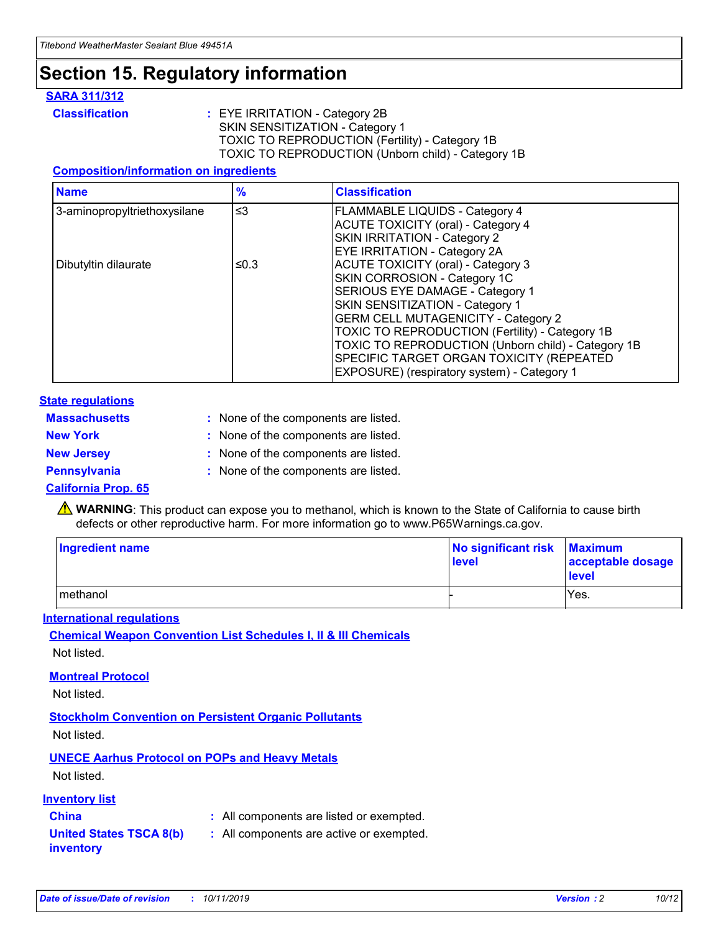## **Section 15. Regulatory information**

### **SARA 311/312**

**Classification :** EYE IRRITATION - Category 2B SKIN SENSITIZATION - Category 1 TOXIC TO REPRODUCTION (Fertility) - Category 1B TOXIC TO REPRODUCTION (Unborn child) - Category 1B

### **Composition/information on ingredients**

| <b>Name</b>                  | $\frac{9}{6}$ | <b>Classification</b>                                                                                            |
|------------------------------|---------------|------------------------------------------------------------------------------------------------------------------|
| 3-aminopropyltriethoxysilane | $\leq$ 3      | <b>FLAMMABLE LIQUIDS - Category 4</b><br><b>ACUTE TOXICITY (oral) - Category 4</b>                               |
|                              |               | SKIN IRRITATION - Category 2<br>EYE IRRITATION - Category 2A                                                     |
| Dibutyltin dilaurate         | ≤0.3          | ACUTE TOXICITY (oral) - Category 3<br>SKIN CORROSION - Category 1C                                               |
|                              |               | SERIOUS EYE DAMAGE - Category 1<br>SKIN SENSITIZATION - Category 1<br><b>GERM CELL MUTAGENICITY - Category 2</b> |
|                              |               | TOXIC TO REPRODUCTION (Fertility) - Category 1B<br>TOXIC TO REPRODUCTION (Unborn child) - Category 1B            |
|                              |               | SPECIFIC TARGET ORGAN TOXICITY (REPEATED<br>EXPOSURE) (respiratory system) - Category 1                          |

#### **State regulations**

| <b>Massachusetts</b> | : None of the components are listed. |
|----------------------|--------------------------------------|
| <b>New York</b>      | : None of the components are listed. |
| <b>New Jersey</b>    | : None of the components are listed. |
| Pennsylvania         | : None of the components are listed. |

#### **California Prop. 65**

**A** WARNING: This product can expose you to methanol, which is known to the State of California to cause birth defects or other reproductive harm. For more information go to www.P65Warnings.ca.gov.

| <b>Ingredient name</b> | No significant risk Maximum<br>level | acceptable dosage<br>level |
|------------------------|--------------------------------------|----------------------------|
| methanol               |                                      | Yes.                       |

#### **International regulations**

**Chemical Weapon Convention List Schedules I, II & III Chemicals** Not listed.

#### **Montreal Protocol**

Not listed.

**Stockholm Convention on Persistent Organic Pollutants**

Not listed.

### **UNECE Aarhus Protocol on POPs and Heavy Metals**

Not listed.

### **Inventory list**

### **China :** All components are listed or exempted.

**United States TSCA 8(b) inventory :** All components are active or exempted.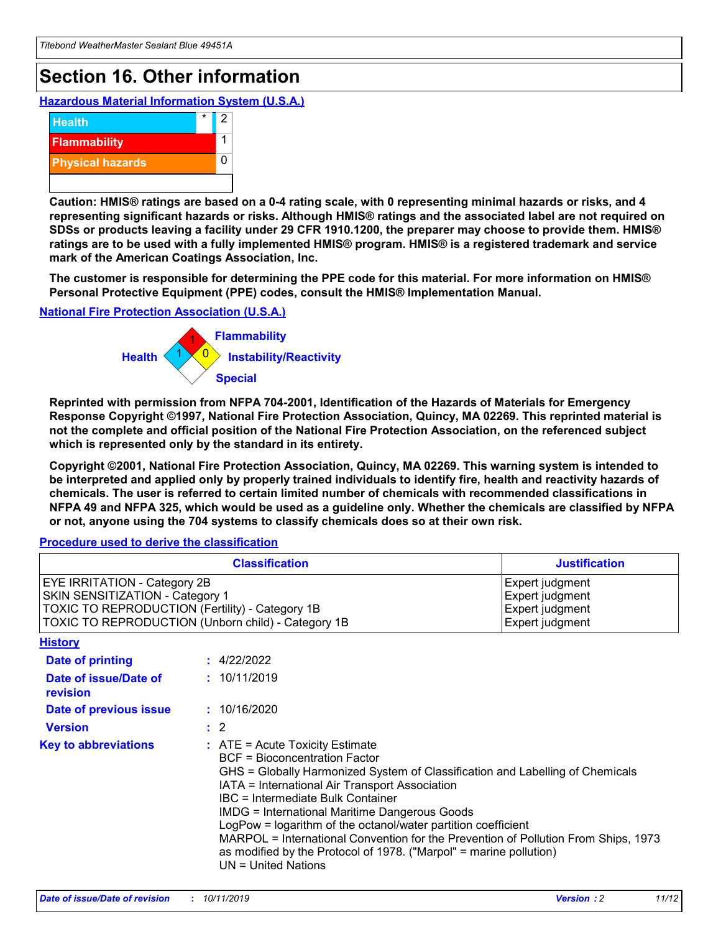## **Section 16. Other information**

**Hazardous Material Information System (U.S.A.)**



**Caution: HMIS® ratings are based on a 0-4 rating scale, with 0 representing minimal hazards or risks, and 4 representing significant hazards or risks. Although HMIS® ratings and the associated label are not required on SDSs or products leaving a facility under 29 CFR 1910.1200, the preparer may choose to provide them. HMIS® ratings are to be used with a fully implemented HMIS® program. HMIS® is a registered trademark and service mark of the American Coatings Association, Inc.**

**The customer is responsible for determining the PPE code for this material. For more information on HMIS® Personal Protective Equipment (PPE) codes, consult the HMIS® Implementation Manual.**

#### **National Fire Protection Association (U.S.A.)**



**Reprinted with permission from NFPA 704-2001, Identification of the Hazards of Materials for Emergency Response Copyright ©1997, National Fire Protection Association, Quincy, MA 02269. This reprinted material is not the complete and official position of the National Fire Protection Association, on the referenced subject which is represented only by the standard in its entirety.**

**Copyright ©2001, National Fire Protection Association, Quincy, MA 02269. This warning system is intended to be interpreted and applied only by properly trained individuals to identify fire, health and reactivity hazards of chemicals. The user is referred to certain limited number of chemicals with recommended classifications in NFPA 49 and NFPA 325, which would be used as a guideline only. Whether the chemicals are classified by NFPA or not, anyone using the 704 systems to classify chemicals does so at their own risk.**

**Procedure used to derive the classification**

|                                                                                                                    | <b>Classification</b>                                                                                                                            | <b>Justification</b>                                                                                                                                                                                                                                                                                                                                                                                                 |  |
|--------------------------------------------------------------------------------------------------------------------|--------------------------------------------------------------------------------------------------------------------------------------------------|----------------------------------------------------------------------------------------------------------------------------------------------------------------------------------------------------------------------------------------------------------------------------------------------------------------------------------------------------------------------------------------------------------------------|--|
| EYE IRRITATION - Category 2B<br>SKIN SENSITIZATION - Category 1<br>TOXIC TO REPRODUCTION (Fertility) - Category 1B | TOXIC TO REPRODUCTION (Unborn child) - Category 1B                                                                                               | Expert judgment<br>Expert judgment<br>Expert judgment<br>Expert judgment                                                                                                                                                                                                                                                                                                                                             |  |
| <b>History</b>                                                                                                     |                                                                                                                                                  |                                                                                                                                                                                                                                                                                                                                                                                                                      |  |
| Date of printing                                                                                                   | : 4/22/2022                                                                                                                                      |                                                                                                                                                                                                                                                                                                                                                                                                                      |  |
| Date of issue/Date of<br>revision                                                                                  | : 10/11/2019                                                                                                                                     |                                                                                                                                                                                                                                                                                                                                                                                                                      |  |
| Date of previous issue                                                                                             | : 10/16/2020                                                                                                                                     |                                                                                                                                                                                                                                                                                                                                                                                                                      |  |
| <b>Version</b>                                                                                                     | $\therefore$ 2                                                                                                                                   |                                                                                                                                                                                                                                                                                                                                                                                                                      |  |
| <b>Key to abbreviations</b>                                                                                        | $\therefore$ ATE = Acute Toxicity Estimate<br><b>BCF</b> = Bioconcentration Factor<br>IBC = Intermediate Bulk Container<br>$UN = United Nations$ | GHS = Globally Harmonized System of Classification and Labelling of Chemicals<br>IATA = International Air Transport Association<br><b>IMDG = International Maritime Dangerous Goods</b><br>LogPow = logarithm of the octanol/water partition coefficient<br>MARPOL = International Convention for the Prevention of Pollution From Ships, 1973<br>as modified by the Protocol of 1978. ("Marpol" = marine pollution) |  |